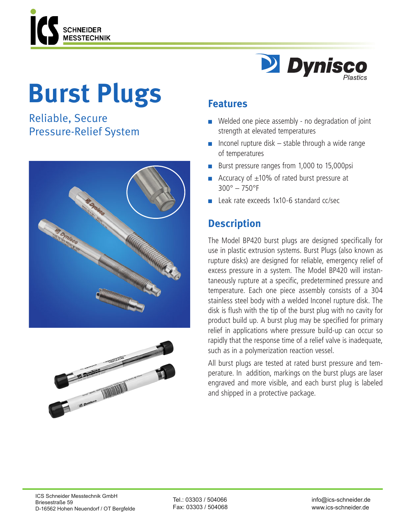

# **Burst Plugs**

Reliable, Secure Pressure-Relief System







### **Features**

- $\blacksquare$  Welded one piece assembly no degradation of joint strength at elevated temperatures
- $\blacksquare$  Inconel rupture disk stable through a wide range of temperatures
- Burst pressure ranges from 1,000 to 15,000psi
- Accuracy of  $\pm 10\%$  of rated burst pressure at 300° – 750°F
- <sup>n</sup> Leak rate exceeds 1x10-6 standard cc/sec

## **Description**

The Model BP420 burst plugs are designed specifically for use in plastic extrusion systems. Burst Plugs (also known as rupture disks) are designed for reliable, emergency relief of excess pressure in a system. The Model BP420 will instantaneously rupture at a specific, predetermined pressure and temperature. Each one piece assembly consists of a 304 stainless steel body with a welded Inconel rupture disk. The disk is flush with the tip of the burst plug with no cavity for product build up. A burst plug may be specified for primary relief in applications where pressure build-up can occur so rapidly that the response time of a relief valve is inadequate, such as in a polymerization reaction vessel.

All burst plugs are tested at rated burst pressure and temperature. In addition, markings on the burst plugs are laser engraved and more visible, and each burst plug is labeled and shipped in a protective package.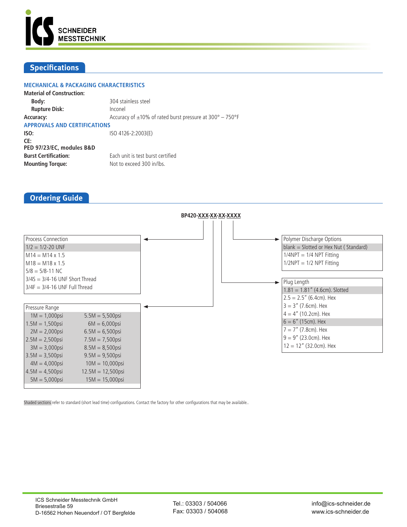

#### **Specifications**

| <b>MECHANICAL &amp; PACKAGING CHARACTERISTICS</b>             |
|---------------------------------------------------------------|
|                                                               |
| 304 stainless steel                                           |
| Inconel                                                       |
| Accuracy of $\pm$ 10% of rated burst pressure at 300° - 750°F |
| <b>APPROVALS AND CERTIFICATIONS</b>                           |
| ISO 4126-2:2003(E)                                            |
|                                                               |
|                                                               |
| Each unit is test burst certified                             |
| Not to exceed 300 in/lbs.                                     |
|                                                               |

#### **Ordering Guide**



Shaded sections refer to standard (short lead time) configurations. Contact the factory for other configurations that may be available..